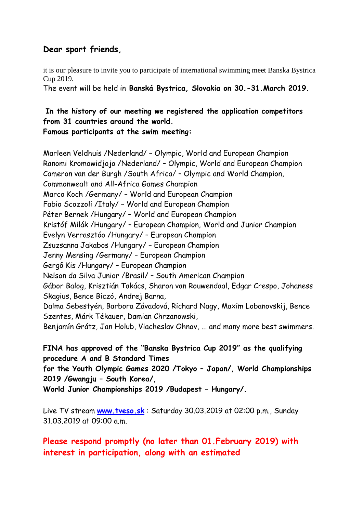## **Dear sport friends,**

it is our pleasure to invite you to participate of international swimming meet Banska Bystrica Cup 2019.

The event will be held in **Banská Bystrica, Slovakia on 30.-31.March 2019.**

## **In the history of our meeting we registered the application competitors from 31 countries around the world.**

**Famous participants at the swim meeting:** 

Marleen Veldhuis /Nederland/ – Olympic, World and European Champion Ranomi Kromowidjojo /Nederland/ – Olympic, World and European Champion Cameron van der Burgh /South Africa/ – Olympic and World Champion, Commonwealt and All-Africa Games Champion Marco Koch /Germany/ – World and European Champion Fabio Scozzoli /Italy/ – World and European Champion Péter Bernek /Hungary/ – World and European Champion Kristóf Milák /Hungary/ – European Champion, World and Junior Champion Evelyn Verrasztóo /Hungary/ – European Champion Zsuzsanna Jakabos /Hungary/ – European Champion Jenny Mensing /Germany/ – European Champion Gergő Kis /Hungary/ – European Champion Nelson da Silva Junior /Brasil/ – South American Champion Gábor Balog, Krisztián Takács, Sharon van Rouwendaal, Edgar Crespo, Johaness Skagius, Bence Biczó, Andrej Barna, Dalma Sebestyén, Barbora Závadová, Richard Nagy, Maxim Lobanovskij, Bence Szentes, Márk Tékauer, Damian Chrzanowski, Benjamín Grátz, Jan Holub, Viacheslav Ohnov, ... and many more best swimmers.

**FINA has approved of the "Banska Bystrica Cup 2019" as the qualifying procedure A and B Standard Times for the Youth Olympic Games 2020 /Tokyo – Japan/, World Championships 2019 /Gwangju – South Korea/, World Junior Championships 2019 /Budapest – Hungary/.**

Live TV stream **[www.tveso.sk](http://www.tveso.sk/)** : Saturday 30.03.2019 at 02:00 p.m., Sunday 31.03.2019 at 09:00 a.m.

## **Please respond promptly (no later than 01.February 2019) with interest in participation, along with an estimated**